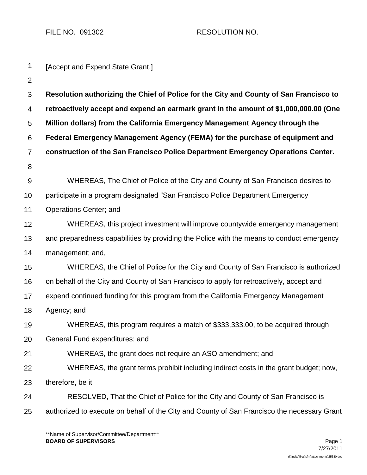FILE NO. 091302 RESOLUTION NO.

| 1              | [Accept and Expend State Grant.]                                                            |  |  |
|----------------|---------------------------------------------------------------------------------------------|--|--|
| 2              |                                                                                             |  |  |
| 3              | Resolution authorizing the Chief of Police for the City and County of San Francisco to      |  |  |
| 4              | retroactively accept and expend an earmark grant in the amount of \$1,000,000.00 (One       |  |  |
| 5              | Million dollars) from the California Emergency Management Agency through the                |  |  |
| 6              | Federal Emergency Management Agency (FEMA) for the purchase of equipment and                |  |  |
| $\overline{7}$ | construction of the San Francisco Police Department Emergency Operations Center.            |  |  |
| 8              |                                                                                             |  |  |
| $9\,$          | WHEREAS, The Chief of Police of the City and County of San Francisco desires to             |  |  |
| 10             | participate in a program designated "San Francisco Police Department Emergency              |  |  |
| 11             | Operations Center; and                                                                      |  |  |
| 12             | WHEREAS, this project investment will improve countywide emergency management               |  |  |
| 13             | and preparedness capabilities by providing the Police with the means to conduct emergency   |  |  |
| 14             | management; and,                                                                            |  |  |
| 15             | WHEREAS, the Chief of Police for the City and County of San Francisco is authorized         |  |  |
| 16             | on behalf of the City and County of San Francisco to apply for retroactively, accept and    |  |  |
| 17             | expend continued funding for this program from the California Emergency Management          |  |  |
| 18             | Agency; and                                                                                 |  |  |
| 19             | WHEREAS, this program requires a match of \$333,333.00, to be acquired through              |  |  |
| 20             | General Fund expenditures; and                                                              |  |  |
| 21             | WHEREAS, the grant does not require an ASO amendment; and                                   |  |  |
| 22             | WHEREAS, the grant terms prohibit including indirect costs in the grant budget; now,        |  |  |
| 23             | therefore, be it                                                                            |  |  |
| 24             | RESOLVED, That the Chief of Police for the City and County of San Francisco is              |  |  |
| 25             | authorized to execute on behalf of the City and County of San Francisco the necessary Grant |  |  |